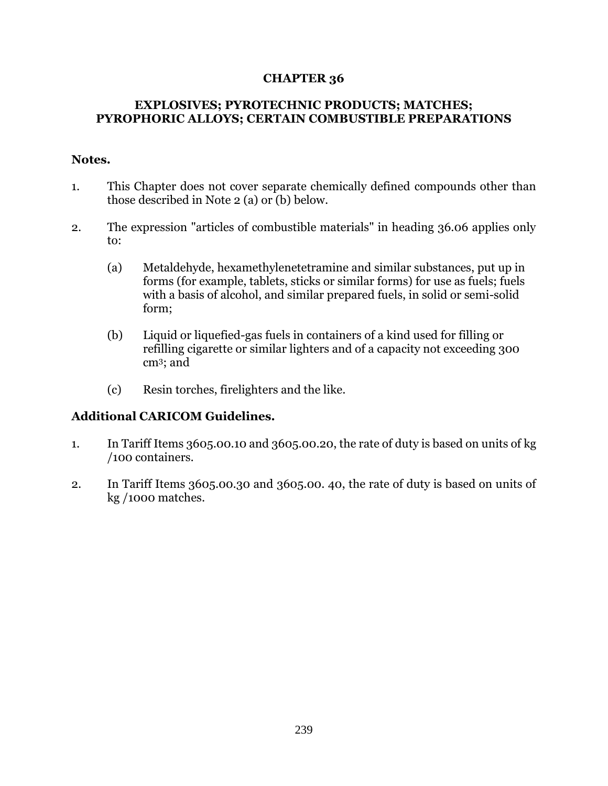## **CHAPTER 36**

## **EXPLOSIVES; PYROTECHNIC PRODUCTS; MATCHES; PYROPHORIC ALLOYS; CERTAIN COMBUSTIBLE PREPARATIONS**

## **Notes.**

- 1. This Chapter does not cover separate chemically defined compounds other than those described in Note 2 (a) or (b) below.
- 2. The expression "articles of combustible materials" in heading 36.06 applies only to:
	- (a) Metaldehyde, hexamethylenetetramine and similar substances, put up in forms (for example, tablets, sticks or similar forms) for use as fuels; fuels with a basis of alcohol, and similar prepared fuels, in solid or semi-solid form;
	- (b) Liquid or liquefied-gas fuels in containers of a kind used for filling or refilling cigarette or similar lighters and of a capacity not exceeding 300 cm3; and
	- (c) Resin torches, firelighters and the like.

## **Additional CARICOM Guidelines.**

- 1. In Tariff Items 3605.00.10 and 3605.00.20, the rate of duty is based on units of kg /100 containers.
- 2. In Tariff Items 3605.00.30 and 3605.00. 40, the rate of duty is based on units of kg /1000 matches.